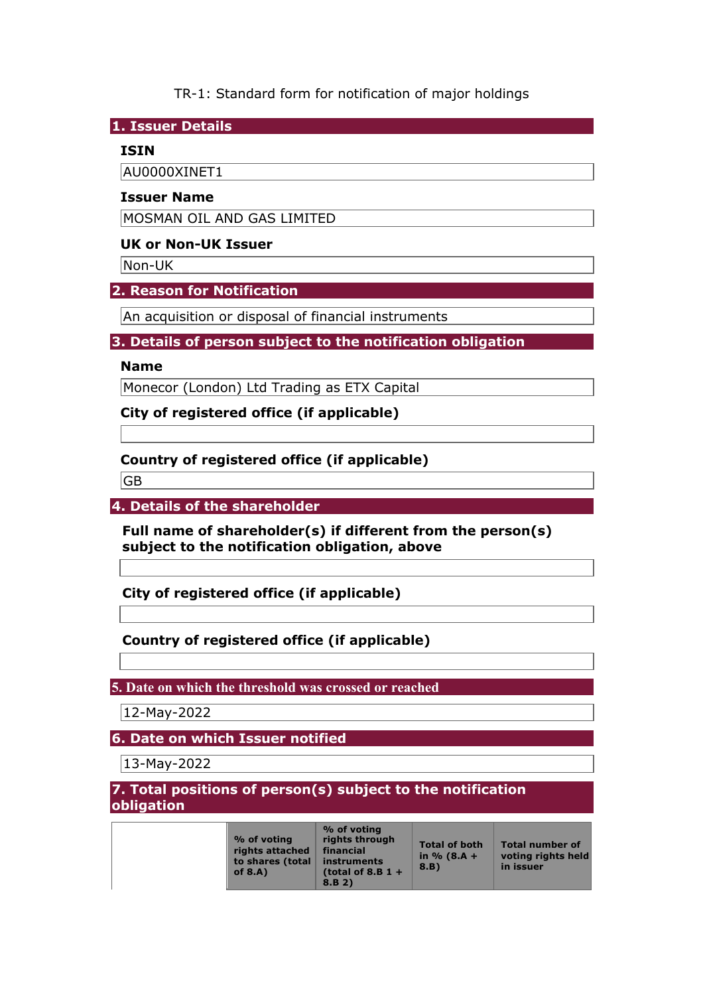TR-1: Standard form for notification of major holdings

**1. Issuer Details** 

## **ISIN**

AU0000XINET1

### **Issuer Name**

MOSMAN OIL AND GAS LIMITED

### **UK or Non-UK Issuer**

Non-UK

## **2. Reason for Notification**

An acquisition or disposal of financial instruments

## **3. Details of person subject to the notification obligation**

### **Name**

Monecor (London) Ltd Trading as ETX Capital

**City of registered office (if applicable)** 

## **Country of registered office (if applicable)**

GB

**4. Details of the shareholder** 

**Full name of shareholder(s) if different from the person(s) subject to the notification obligation, above** 

**City of registered office (if applicable)** 

# **Country of registered office (if applicable)**

## **5. Date on which the threshold was crossed or reached**

12-May-2022

**6. Date on which Issuer notified** 

13-May-2022

### **7. Total positions of person(s) subject to the notification obligation**

| % of voting<br>rights attached<br>to shares (total<br>of $8.A$ ) | % of voting<br>rights through<br>financial<br><i>instruments</i><br>(total of 8.B $1 +$<br>8.B.2) | <b>Total of both</b><br>in $% (8.A +$<br>8.B | <b>Total number of</b><br>voting rights hel<br>in issuer |
|------------------------------------------------------------------|---------------------------------------------------------------------------------------------------|----------------------------------------------|----------------------------------------------------------|
|------------------------------------------------------------------|---------------------------------------------------------------------------------------------------|----------------------------------------------|----------------------------------------------------------|

eld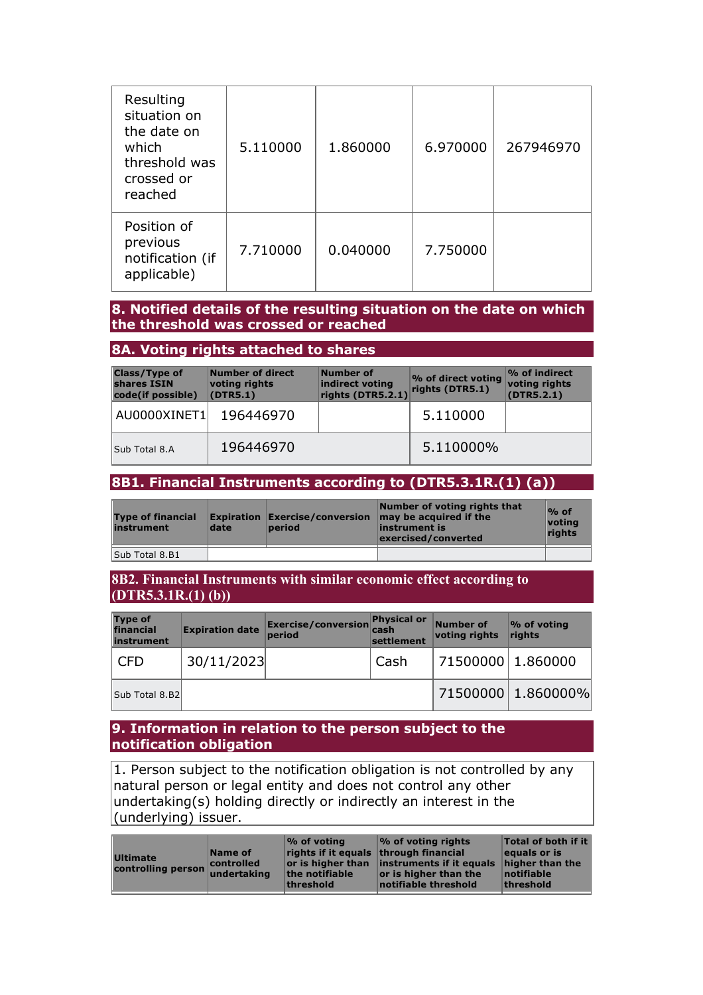| Resulting<br>situation on<br>the date on<br>which<br>threshold was<br>crossed or<br>reached | 5.110000 | 1.860000 | 6.970000 | 267946970 |
|---------------------------------------------------------------------------------------------|----------|----------|----------|-----------|
| Position of<br>previous<br>notification (if<br>applicable)                                  | 7.710000 | 0.040000 | 7.750000 |           |

### **8. Notified details of the resulting situation on the date on which the threshold was crossed or reached**

### **8A. Voting rights attached to shares**

| <b>Class/Type of</b><br>shares ISIN<br>code(if possible) | Number of direct<br>voting rights<br>(DTR5.1) | Number of<br>indirect voting<br>rights (DTR5.2.1) | % of direct voting<br>rights (DTR5.1) | $\%$ of indirect<br>voting rights<br>(DTR5.2.1) |
|----------------------------------------------------------|-----------------------------------------------|---------------------------------------------------|---------------------------------------|-------------------------------------------------|
| AU0000XINET1                                             | 196446970                                     |                                                   | 5.110000                              |                                                 |
| Sub Total 8.A                                            | 196446970                                     |                                                   | 5.110000%                             |                                                 |

#### **8B1. Financial Instruments according to (DTR5.3.1R.(1) (a))**

| <b>Type of financial</b><br>instrument | date | <b>period</b> | Number of voting rights that<br><b>Expiration Exercise/conversion may be acquired if the</b><br>instrument is<br>exercised/converted | $%$ of<br>voting<br>riahts |
|----------------------------------------|------|---------------|--------------------------------------------------------------------------------------------------------------------------------------|----------------------------|
| Sub Total 8.B1                         |      |               |                                                                                                                                      |                            |

#### **8B2. Financial Instruments with similar economic effect according to (DTR5.3.1R.(1) (b))**

| <b>Type of</b><br>financial<br>instrument | <b>Expiration date</b> | Exercise/conversion<br>period | <b>Physical or</b><br>cash<br>settlement | Number of<br>voting rights | % of voting<br>$l$ rights |
|-------------------------------------------|------------------------|-------------------------------|------------------------------------------|----------------------------|---------------------------|
| <b>CFD</b>                                | 30/11/2023             |                               | Cash                                     | 71500000 1.860000          |                           |
| Sub Total 8.B2                            |                        |                               |                                          |                            | 71500000 1.860000%        |

#### **9. Information in relation to the person subject to the notification obligation**

1. Person subject to the notification obligation is not controlled by any natural person or legal entity and does not control any other undertaking(s) holding directly or indirectly an interest in the (underlying) issuer.

| <b>Ultimate</b><br>controlling person | Name of<br>controlled<br>undertaking | $\mathcal{O}_0$ of voting<br>rights if it equals through financial<br>the notifiable<br>threshold | $\frac{1}{2}$ of voting rights<br>or is higher than instruments if it equals<br>or is higher than the<br>notifiable threshold | <b>Total of both if it</b><br>equals or is<br>higher than the<br>notifiable<br>threshold |
|---------------------------------------|--------------------------------------|---------------------------------------------------------------------------------------------------|-------------------------------------------------------------------------------------------------------------------------------|------------------------------------------------------------------------------------------|
|                                       |                                      |                                                                                                   |                                                                                                                               |                                                                                          |